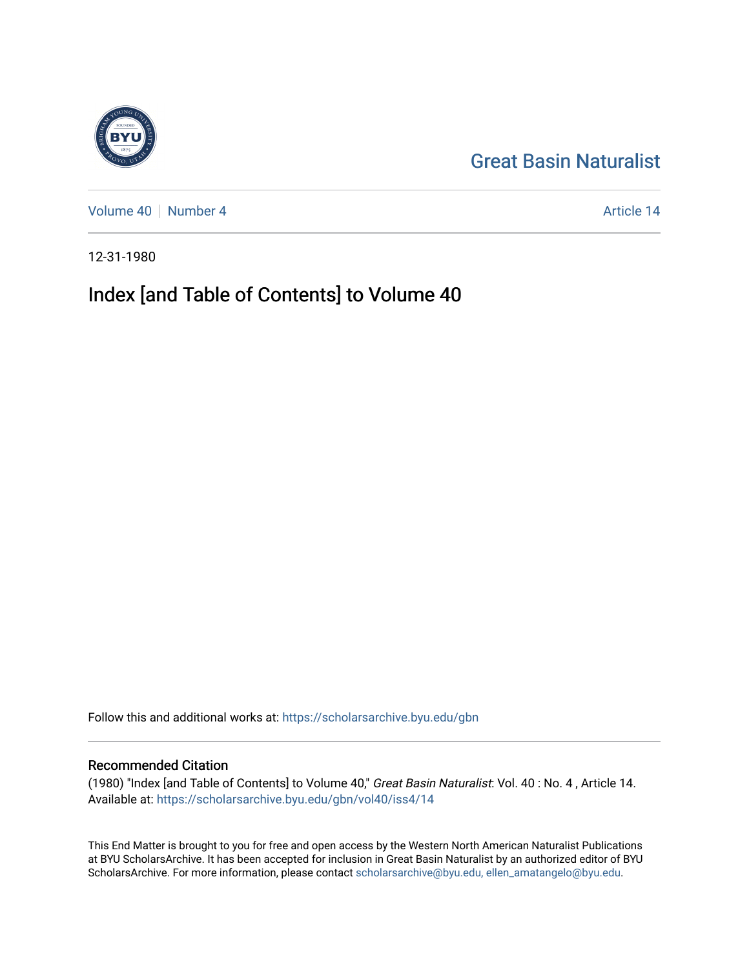[Great Basin Naturalist](https://scholarsarchive.byu.edu/gbn) 

[Volume 40](https://scholarsarchive.byu.edu/gbn/vol40) [Number 4](https://scholarsarchive.byu.edu/gbn/vol40/iss4) Article 14

12-31-1980

# Index [and Table of Contents] to Volume 40

Follow this and additional works at: [https://scholarsarchive.byu.edu/gbn](https://scholarsarchive.byu.edu/gbn?utm_source=scholarsarchive.byu.edu%2Fgbn%2Fvol40%2Fiss4%2F14&utm_medium=PDF&utm_campaign=PDFCoverPages) 

### Recommended Citation

(1980) "Index [and Table of Contents] to Volume 40," Great Basin Naturalist: Vol. 40 : No. 4 , Article 14. Available at: [https://scholarsarchive.byu.edu/gbn/vol40/iss4/14](https://scholarsarchive.byu.edu/gbn/vol40/iss4/14?utm_source=scholarsarchive.byu.edu%2Fgbn%2Fvol40%2Fiss4%2F14&utm_medium=PDF&utm_campaign=PDFCoverPages) 

This End Matter is brought to you for free and open access by the Western North American Naturalist Publications at BYU ScholarsArchive. It has been accepted for inclusion in Great Basin Naturalist by an authorized editor of BYU ScholarsArchive. For more information, please contact [scholarsarchive@byu.edu, ellen\\_amatangelo@byu.edu.](mailto:scholarsarchive@byu.edu,%20ellen_amatangelo@byu.edu)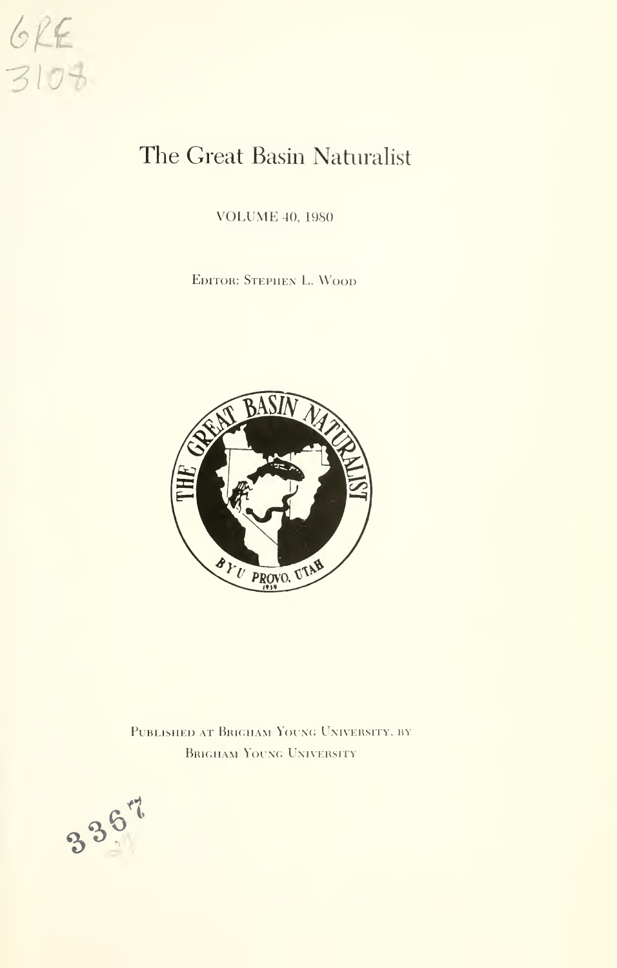

# The Great Basin Naturalist

VOLUME 40, <sup>1980</sup>

Editor: Stephen L. Wood



PUBLISHED AT BRIGHAM YOUNG UNIVERSITY, BY Brigham Young University

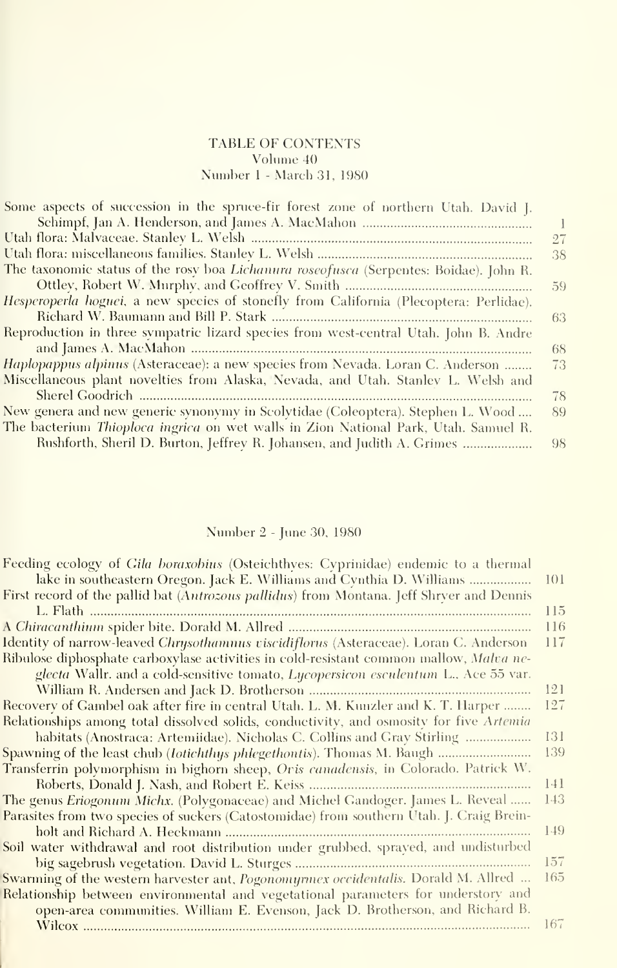#### TABLE OF CONTENTS Volume 40 Number <sup>1</sup> - March 31, 1980

| Some aspects of succession in the spruce-fir forest zone of northern Utah. David J.    |    |
|----------------------------------------------------------------------------------------|----|
|                                                                                        |    |
|                                                                                        | 27 |
|                                                                                        | 38 |
| The taxonomic status of the rosy boa Lichanura roseofusca (Serpentes: Boidae). John R. |    |
|                                                                                        | 59 |
| Hesperoperla hoguei, a new species of stonefly from California (Plecoptera: Perlidae). |    |
|                                                                                        | 63 |
| Reproduction in three sympatric lizard species from west-central Utah. John B. Andre   |    |
|                                                                                        | 68 |
| Haplopappus alpinus (Asteraceae): a new species from Nevada. Loran C. Anderson         | 73 |
| Miscellaneous plant novelties from Alaska, Nevada, and Utah. Stanley L. Welsh and      |    |
|                                                                                        | 78 |
| New genera and new generic synonymy in Scolytidae (Coleoptera). Stephen L. Wood        | 89 |
| The bacterium Thioploca ingrica on wet walls in Zion National Park, Utah. Samuel R.    |    |
| Rushforth, Sheril D. Burton, Jeffrey R. Johansen, and Judith A. Grimes                 | 98 |

## Number 2 - June 30, 1980

| Feeding ecology of Gila boraxobius (Osteichthves: Cyprinidae) endemic to a thermal       |     |
|------------------------------------------------------------------------------------------|-----|
|                                                                                          | 101 |
| First record of the pallid bat (Autrozous pallidus) from Montana. Jeff Shrver and Dennis |     |
|                                                                                          | 115 |
|                                                                                          | 116 |
| Identity of narrow-leaved Chrysothamnus viscidiflorus (Asteraceae). Loran C. Anderson    | 117 |
| Ribulose diphosphate carboxylase activities in cold-resistant common mallow, Malva ne-   |     |
| glecta Wallr. and a cold-sensitive tomato, Lycopersicon esculentum L., Ace 55 var.       |     |
|                                                                                          | 121 |
| Recovery of Gambel oak after fire in central Utah. L. M. Kunzler and K. T. Harper        | 127 |
| Relationships among total dissolved solids, conductivity, and osmosity for five Artemia  |     |
| habitats (Anostraea: Artemiidae). Nicholas C. Collins and Gray Stirling                  | 131 |
|                                                                                          | 139 |
| Transferrin polymorphism in bighorn sheep, Oris canadensis, in Colorado. Patrick W.      |     |
|                                                                                          | 141 |
| The genus Eriogonum Michx. (Polygonaceae) and Michel Gandoger. James L. Reveal           | 143 |
| Parasites from two species of suckers (Catostomidae) from southern Utah. J. Craig Brein- |     |
|                                                                                          | 149 |
| Soil water withdrawal and root distribution under grubbed, sprayed, and undisturbed      |     |
|                                                                                          | 157 |
| Swarming of the western harvester ant, Pogonomyrmex occidentalis. Dorald M. Allred       | 165 |
| Relationship between environmental and vegetational parameters for understory and        |     |
| open-area communities. William E. Evenson, Jack D. Brotherson, and Richard B.            |     |
|                                                                                          | 167 |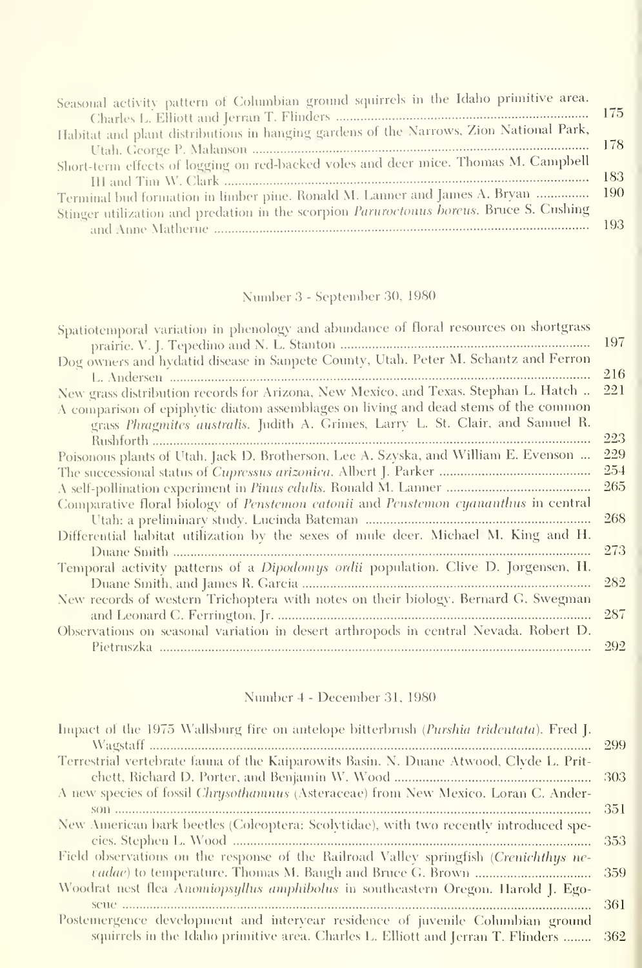| Seasonal activity pattern of Columbian ground squirrels in the Idaho primitive area.    |       |
|-----------------------------------------------------------------------------------------|-------|
|                                                                                         |       |
| Habitat and plant distributions in hanging gardens of the Narrows, Zion National Park,  |       |
|                                                                                         |       |
| Short-term effects of logging on red-backed voles and deer mice. Thomas M. Campbell     |       |
|                                                                                         | - 183 |
| Terminal bud formation in limber pine. Ronald M. Lanner and James A. Bryan  190         |       |
| Stinger utilization and predation in the scorpion Paruroctonus boreus. Bruce S. Cushing |       |
|                                                                                         |       |

# Number 3 - September 30, 1980

| Spatiotemporal variation in phenology and abundance of floral resources on shortgrass |     |
|---------------------------------------------------------------------------------------|-----|
|                                                                                       | 197 |
| Dog owners and hydatid disease in Sanpete County, Utah. Peter M. Schantz and Ferron   |     |
|                                                                                       | 216 |
| New grass distribution records for Arizona, New Mexico, and Texas. Stephan L. Hatch   | 221 |
| A comparison of epiphytic diatom assemblages on living and dead stems of the common   |     |
| grass Phragmites australis. Judith A. Grimes, Larry L. St. Clair, and Samuel R.       |     |
|                                                                                       | 223 |
| Poisonous plants of Utah. Jack D. Brotherson, Lee A. Szyska, and William E. Evenson   | 229 |
|                                                                                       | 254 |
|                                                                                       | 265 |
| Comparative floral biology of Penstemon eatonii and Penstemon cyananthus in central   |     |
|                                                                                       | 268 |
| Differential habitat utilization by the sexes of mule deer. Michael M. King and H.    |     |
|                                                                                       | 273 |
| Temporal activity patterns of a Dipodomys ordii population. Clive D. Jorgensen, H.    |     |
|                                                                                       | 282 |
| New records of western Trichoptera with notes on their biology. Bernard G. Swegman    |     |
|                                                                                       | 287 |
| Observations on seasonal variation in desert arthropods in central Nevada. Robert D.  |     |
|                                                                                       | 292 |
|                                                                                       |     |

## Number 4 - December 31, 1980

| Impact of the 1975 Wallsburg fire on antelope bitterbrush (Purshia tridentata). Fred J. |      |
|-----------------------------------------------------------------------------------------|------|
|                                                                                         | 299  |
| Terrestrial vertebrate fauna of the Kaiparowits Basin. N. Duane Atwood, Clyde L. Prit-  |      |
|                                                                                         | -303 |
| A new species of fossil Chrysothamnus (Asteraceae) from New Mexico. Loran C. Ander-     |      |
|                                                                                         | 351  |
| New American bark beetles (Coleoptera: Scolytidae), with two recently introduced spe-   | 353  |
| Field observations on the response of the Railroad Valley springfish (Crenichthys ne-   | 359  |
| Woodrat nest flea Anomiopsyllus amphibolus in southeastern Oregon. Harold J. Ego-       | -361 |
| Postemergence development and intervear residence of juvenile Columbian ground          |      |
| squirrels in the Idaho primitive area. Charles L. Elliott and Jerran T. Flinders        | -362 |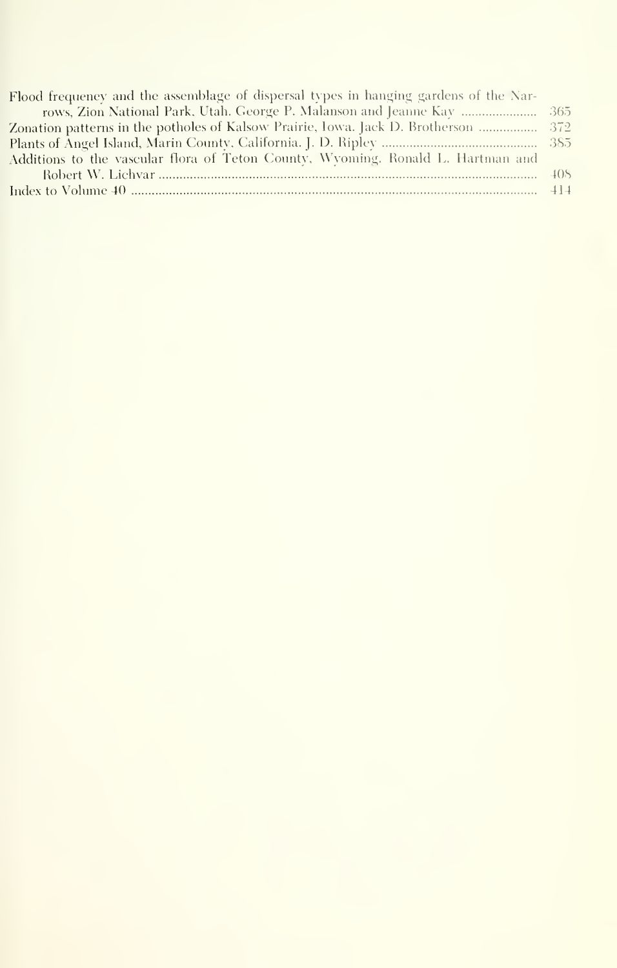| Flood frequency and the assemblage of dispersal types in hanging gardens of the Nar- |  |
|--------------------------------------------------------------------------------------|--|
| rows, Zion National Park, Utah. George P. Malanson and Jeanne Kav  365               |  |
| Zonation patterns in the potholes of Kalsow Prairie, Iowa. Jack D. Brotherson  372   |  |
|                                                                                      |  |
| Additions to the vascular flora of Teton County, Wyoming, Ronald L. Hartman and      |  |
|                                                                                      |  |
|                                                                                      |  |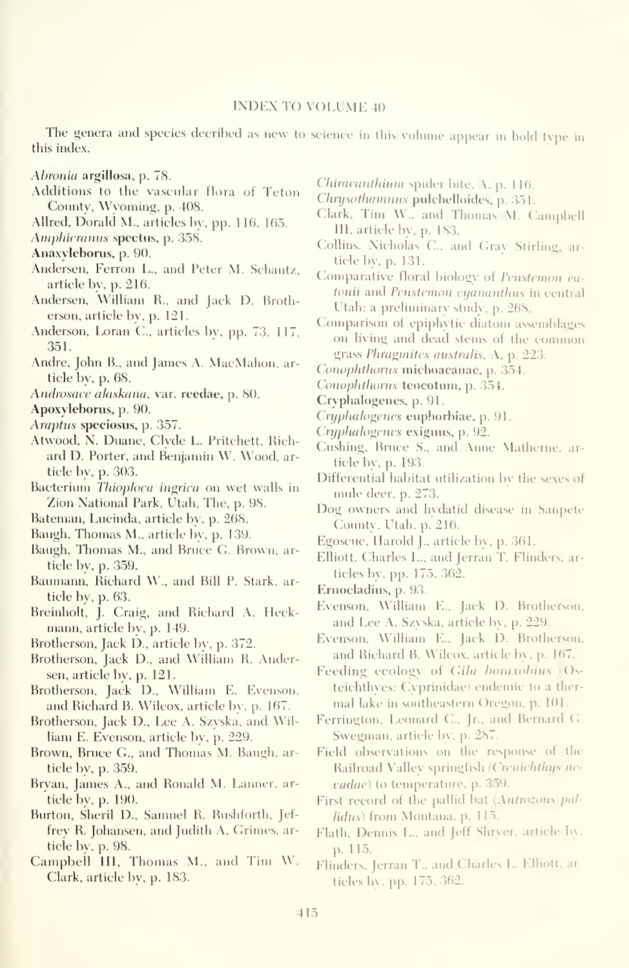#### INDEX TO VOLUME <sup>40</sup>

The genera and species decribed as new to science in this volume appear in bold type in this index.

Ahronia argillosa, p. 78.

- Additions to the vascular flora of Teton County, Wyoming, p. 408.
- Allred, Dorald M., articles by, pp. 116. 165.

Amphicranus spectus, p. 358.

Anaxylebonis, p. 90.

- Andersen, Ferron L., and Peter M. Schantz, article by, p. 216.
- Andersen, William R., and Jack D. Brotherson, article by, p. 121.
- Anderson, Loran C, articles bv, pp. 73, 117, 351.
- Andre, John B., and James A. MacMahon, article bv, p. 68.

Androsace alaskana, var. reedae, p. 80.

Apoxyleborus, p. 90.

Araptus speciosus, p. 357.

- Atwood, N. Duane, Clyde L. Pritchett, Richard D. Porter, and Benjamin W. Wood, article by, p. 303.
- Bacterium Thioploca ingrica on wet walls in Zion National Park, Utah, The, p. 98.
- Bateman, Lucinda, article by, p. 268.
- Baugh, Thomas M., article by, p. 139.
- Baugh, Thomas M., and Bruce G. Brown, article by, p. 359.
- Baumann, Richard W., and Bill P. Stark, article by, p. 63.
- Breinholt, J. Craig, and Richard A. Heck mann, article by, p. 149.
- Brotherson, Jack D., article by, p. 372.
- Brotherson, Jack D., and William R. Andersen, article bv, p. 121.
- Brotherson, Jack D., William E. Evenson, and Richard B. Wilcox, article by, p. 167.
- Brotherson, Jack D., Lee A. Szyska, and William E. Evenson, article bv, p. 229.
- Brown, Bruce C, and Thomas M. Baugh. article by, p. 359.
- Bryan, James A., and Ronald M. Lanner, article by, p. 190.
- Burton, Sheril D., Sanniel R. Rushforth, Jef frey R. Johansen, and Judith A. Grimes, article by, p. 98.
- Campbell III, Thomas M., and Tim W. Clark, article by, p. 183.

Chiracanthium spider bite.  $A$ , p. 116.

Chrysothamnus pulchelloides, p. 351.

- Clark, Tim W., and Thomas M. Campbell 111, article by, p. 183.
- Collins, Nicholas C., and Gray Stirling, article by, p. 131.

Comparative floral biology of Penstemon eatonii and Penstemon cyananthus in central Utah: a preliminarv studv, p. 268.

- Comparison of epiphytic diatom assemblages on living and dead stems of the conunon grass *Phragmites australis*,  $\Lambda$ , p. 223.
- Conophthorus michoacanae, p. 354.
- Conophthorus teocotum, p. 354.
- Cryphalogenes, p. 91.
- Cryphalogenes cuphorbiae, p. 91.
- Cryphalogenes exiguus, p. 92.
- Cushing, Bruce S., and Anne Matherne. article by, p. 193.
- Differential habitat utilization by the sexes of mule deer, p. 273.
- Dog owners and hydatid disease in Sanpete County, Utah, p. 216.
- Egoscue, Harold J., article bv, p. 361.
- Elliott, Charles L., and Jerran T. Flinders, articles by, pp. 175, 362.
- Ernocladius, p. 93.
- Evenson, William E., Jack D. Brotherson, and Lee A. Szvska, article by, p. 229.
- Evenson, \\'illiam E., Jack D. Brotherson, and Richard B. Wilcox, article by. p. 167.
- Feeding ecology of Gila horaxohius (Osteichthves: Cvprinidae) endemic to a ther mal lake in southeastern Oregon, p. 101.
- Ferrington, Leonard C, Jr., and Bernard C Swegman, article by, p. 287.
- Field observations on the response of the Railroad Valley springfish Crenichthys nevadae) to temperature, p. 359.
- First record of the pallid bat Antrozous pallidus) from Montana, p. 115.
- Flath, Dennis L., and Jeff Shryer, article l)\. p. 115.
- Flinders, Jerran T., and Charles L. Elliott, articles b\ . pp. 175, 362.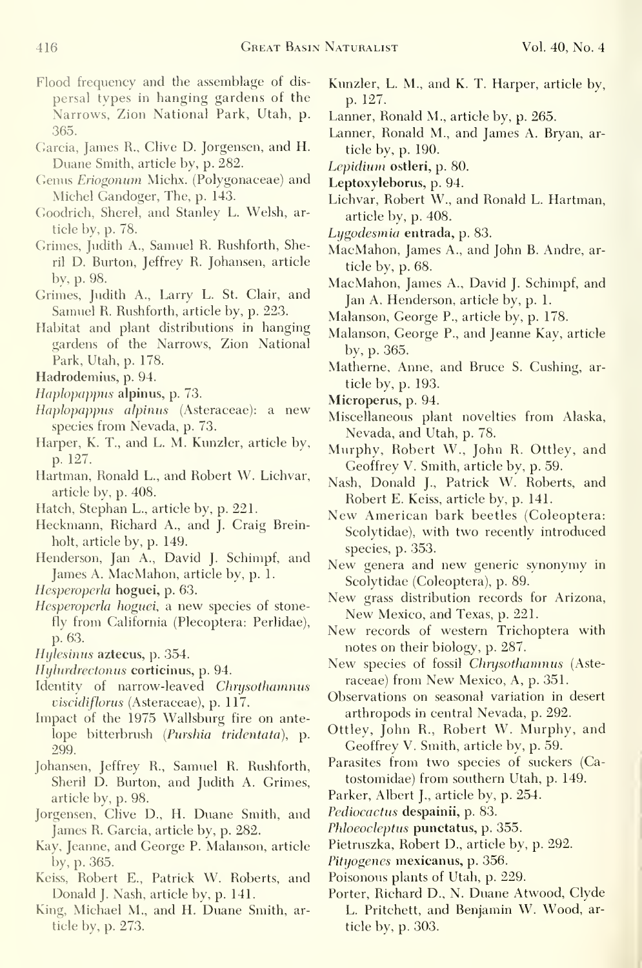- Garcia, James R., Clive D. Jorgensen, and H. Duane Smith, article by, p. 282.
- Genus Eriogonum Michx. (Polygonaceae) and Michel Gandoger, The, p. 143.
- Goodrich, Sherel, and Stanley L. Welsh, article by, p. 78.
- Grimes, Judith A., Samuel R. Rushforth, Sheril D. Burton, Jeffrey R. Johansen, article by, p. 98.
- Grimes, Judith A., Larry L. St. Clair, and Samuel R. Rushforth, article by, p. 223.
- Habitat and plant distributions in hanging gardens of the Narrows, Zion National Park, Utah, p. 178.
- Hadrodemius, p. 94.
- Haplopappus alpinus, p. 73.
- Haplopappus alpinus (Asteraceae): a new species from Nevada, p. 73.
- Harper, K. T., and L. M. Kunzler, article by, p. 127.
- Hartman, Ronald L., and Robert W. Lichvar, article by, p. 408.
- Hatch, Stephan L., article by, p. 221.
- Heckmann, Richard A., and J. Craig Breinholt, article by, p. 149.
- Henderson, Jan A., David J. Schimpf, and James A. MacMahon, article by, p. 1.
- Hesperoperla hoguei, p. 63.
- Hesperoperla hoguei, a new species of stonefly from California (Plecoptera: Perlidae), p. 63.
- Hijlesinus aztecus, p. 354.
- Hijlurdrectonus corticinus, p. 94.
- Identity of narrow-leaved Chrysothamnus viscidiflonis (Asteraceae), p. 117.
- Impact of the 1975 Wallsburg fire on ante lope bitterbrush {Purshia tridentata), p. 299.
- Johansen, Jeffrey R., Samuel R. Rushforth, Sheril D. Burton, and Judith A. Grimes, article by, p. 98.
- Jorgensen, Clive D., H. Duane Smith, and James R. Garcia, article by, p. 282.
- Kay, Jeanne, and George P. Malanson, article by, p. 365.
- Keiss, Robert E., Patrick W. Roberts, and Donald J. Nash, article by, p. 141.
- King, Michael M., and H. Duane Smith, article by, p. 273.
- Kunzler, L. M., and K. T. Harper, article by, p. 127.
- Lanner, Ronald M., article by, p. 265.
- Lanner, Ronald M., and James A. Bryan, article by, p. 190.
- Lepidium ostleri, p. 80.
- Leptoxyleborus, p. 94.
- Lichvar, Robert W., and Ronald L. Hartman, article by, p. 408.
- Lygodesmia entrada, p. 83.
- MacMahon, James A., and John B. Andre, article by, p. 68.
- MacMahon, James A., David J. Schimpf, and Jan A. Henderson, article by, p. 1.
- Malanson, George P., article by, p. 178.
- Malanson, George P., and Jeanne Kay, article by, p. 365.
- Matherne, Anne, and Bruce S. Gushing, article by, p. 193.
- Microperus, p. 94.
- Miscellaneous plant novelties from Alaska, Nevada, and Utah, p. 78.
- Murphy, Robert W., John R. Ottley, and Geoffrey V. Smith, article by, p. 59.
- Nash, Donald J., Patrick W. Roberts, and Robert E. Keiss, article by, p. 141.
- New American bark beetles (Coleoptera: Scolytidae), with two recently introduced species, p. 353.
- New genera and new generic synonymy in Scolytidae (Coleoptera), p. 89.
- New grass distribution records for Arizona, New Mexico, and Texas, p. 221.
- New records of western Trichoptera with notes on their biology, p. 287.
- New species of fossil Chrysothamnus (Asteraceae) from New Mexico, A, p. 351.
- Observations on seasonal variation in desert arthropods in central Nevada, p. 292.
- Ottley, John R., Robert W. Murphy, and Geoffrey V. Smith, article by, p. 59.
- Parasites from two species of suckers (Catostomidae) from southern Utah, p. 149.
- Parker, Albert J., article by, p. 254.
- Pediococtus despainii, p. 83.
- Phloeocleptus punctatus, p. 355.
- Pietruszka, Robert D., article by, p. 292.
- Pityogenes mexicanus, p. 356.
- Poisonous plants of Utah, p. 229.
- Porter, Richard D., N. Duane Atwood, Clyde L. Pritchett, and Benjamin W. Wood, article by, p. 303.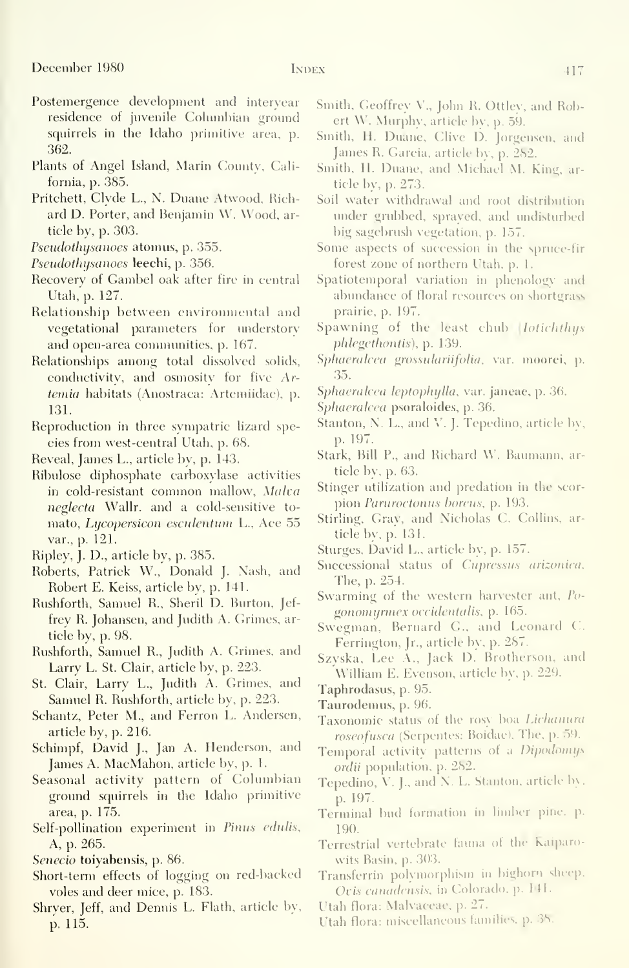- Postemergence development and interyear residence of juvenile Columbian ground squirrels in the Idaho primitive area, p. 362.
- Plants of Angel Island, Marin County, Califoniia, p. 385.
- Pritchett, Clyde L., N. Duane Atwood, Richard D. Porter, and Benjamin W. Wood, article by, p. 303.
- Pseudothysanoes atomus, p. 355.
- Pseudothysanoes leechi, p. 356.
- Recovery of Gambel oak after fire in central Utah, p. 127.
- Relationship between environmental and vegetational parameters for understory and open-area commimities, p. 167.
- Relationships among total dissolved solids, conductivitv, and osmositv for five Artemia habitats (Anostraca: Artemiidae), p. 131.
- Reproduction in three sympatric lizard species from west-central Utah, p. 68.
- Reveal, James L., article by, p. 143.
- Ribulose diphosphate carboxylase activities in cold-resistant common mallow, Malva neglecta Wallr. and a cold-sensitive to mato, Lycopersicon esculentum L., Ace 55 var., p. 121.
- Ripley, J. D., article by, p. 385.
- Roberts, Patrick W., Donald J. Nash, and Robert E. Keiss, article by, p. 141.
- Rushforth, Samuel R., Sheril D. Burton, Jef frey R. Johansen, and Judith A. Grimes, article by, p. 98.
- Rushforth, Samuel R., Judith A. Grimes, and Larry L. St. Clair, article by, p. 223.
- St. Clair, Larry L., Judith A. Crimes, and Samuel R. Rushforth, article by, p. 223.
- Schantz, Peter M., and Ferron L. Andersen, article by, p. 216.
- Schimpf, David J., Jan A. Henderson, and James A. MacMahon, article by, p. 1.
- Seasonal activity pattern of Columbian ground squirrels in the Idaho primitive area, p. 175.
- Self-pollination experiment in Pinus edulis, A, p. 265.
- Senecio toiyabensis, p. 86.
- Short-term effects of logging on red-backed voles and deer mice, p. 183.
- Shryer, Jeff, and Dennis L. Flath, article by, p. 115.
- Smith, Geoffrey V.. John R. Ottley, and Robert W. Murphy, article bv, p. 59.
- Smith, H. Duane, Clive D. Jorgensen. and James R. Garcia, article by, p. 282.
- Smith, H. Duane, and Michael M. King, article by, p. 273.
- Soil water withdrawal and root distribution under grubbed, sprayed, and undisturbed big sagebrush vegetation, p. 157.
- Some aspects of succession in the spruce-fir forest zone of northern Utah, p. 1.
- Spatiotemporal variation in phenology and abundance of floral resources on shortgrass prairie, p. 197.
- Spawning of the least chub *Iotichthus* phlegethontis), p. 139.
- Sphaeralcea grossulariifolia, var. moorei, p. 35.
- Sphaeralcea Icptopln/lla, var. janeae, p. 36.
- Sphaeralcea psoraloides, p. 36.
- Stanton, N. L., and V. J. Tepedino, article by, p. 197.
- Stark, Bill P., and Richard W. Bauniann. article bv, p. 63.
- Stinger utilization and predation in the scor pion Paruroctonus horeus, p. 193.
- Stirling, Gray, and Nicholas C. Collins, article by,  $p. 131$ .
- Sturges, David L., article by, p. 157.
- Successional status of Cupressus arizonica. The, p. 254.
- Swarming of the western harvester ant, Pu gonomyrmex occidentalis, p. 165.
- Swegman, Bernard G., and Leonard C. Ferrington, Jr., article by, p. 287.
- Szyska, Lee A., Jack D. Brotherson, and William E. Evenson, article by. p. 229.
- Taphrodasus, p. 95.
- Taurodemus, p. 96.
- Taxonomic status of the rosy boa Lichanura roseofusca (Serpentes: Boidae), The, p. 59.
- Temporal activity patterns of a Dipodomys ordii population, p. 282.
- Tepedino, V. J., and N. L. Stanton, article by, p. 197.
- Terminal bud formation in limber pine. p. 190.
- Terrestrial vertebrate fauna of the Kaiparowits Basin, p. 303.
- Transferrin polymorphism in bighorn sheep. Oris canadensis, in Colorado, p. 141.
- Utah flora: Malvaceae, p. 27.
- Utah flora: miscellaneous families, p. 38.